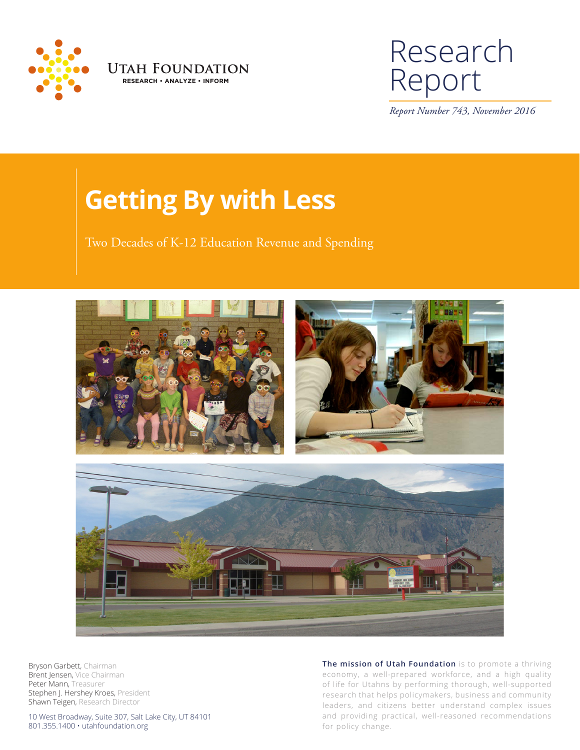



# Research Report

*Report Number 743, November 2016*

# **Getting By with Less**

Two Decades of K-12 Education Revenue and Spending



Bryson Garbett, Chairman Brent Jensen, Vice Chairman Peter Mann, Treasurer Stephen J. Hershey Kroes, President Shawn Teigen, Research Director

10 West Broadway, Suite 307, Salt Lake City, UT 84101 801.355.1400 • utahfoundation.org

**The mission of Utah Foundation** is to promote a thriving economy, a well-prepared workforce, and a high quality of life for Utahns by performing thorough, well-supported research that helps policymakers, business and community leaders, and citizens better understand complex issues and providing practical, well-reasoned recommendations for policy change.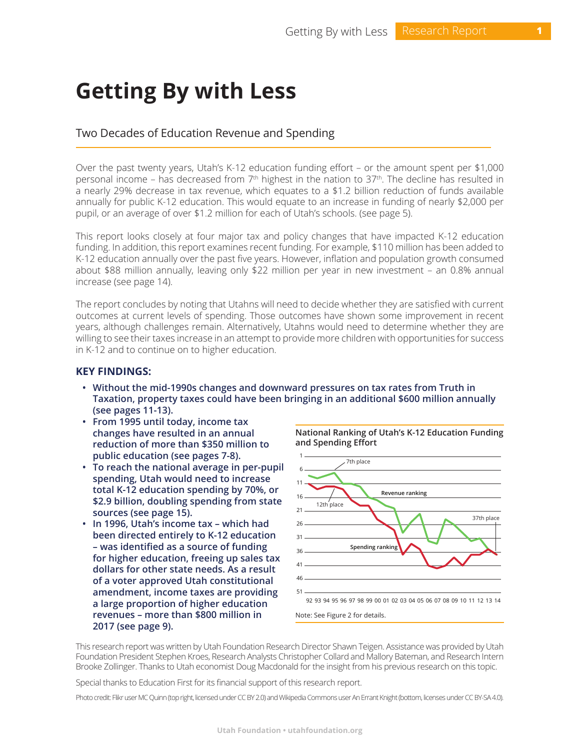# **Getting By with Less**

# Two Decades of Education Revenue and Spending

Over the past twenty years, Utah's K-12 education funding effort – or the amount spent per \$1,000 personal income – has decreased from  $7<sup>th</sup>$  highest in the nation to  $37<sup>th</sup>$ . The decline has resulted in a nearly 29% decrease in tax revenue, which equates to a \$1.2 billion reduction of funds available annually for public K-12 education. This would equate to an increase in funding of nearly \$2,000 per pupil, or an average of over \$1.2 million for each of Utah's schools. (see page 5).

This report looks closely at four major tax and policy changes that have impacted K-12 education funding. In addition, this report examines recent funding. For example, \$110 million has been added to K-12 education annually over the past five years. However, inflation and population growth consumed about \$88 million annually, leaving only \$22 million per year in new investment – an 0.8% annual increase (see page 14).

The report concludes by noting that Utahns will need to decide whether they are satisfied with current outcomes at current levels of spending. Those outcomes have shown some improvement in recent years, although challenges remain. Alternatively, Utahns would need to determine whether they are willing to see their taxes increase in an attempt to provide more children with opportunities for success in K-12 and to continue on to higher education.

# **KEY FINDINGS:**

- **• Without the mid-1990s changes and downward pressures on tax rates from Truth in Taxation, property taxes could have been bringing in an additional \$600 million annually (see pages 11-13).**
- **• From 1995 until today, income tax changes have resulted in an annual reduction of more than \$350 million to public education (see pages 7-8).**
- **• To reach the national average in per-pupil spending, Utah would need to increase total K-12 education spending by 70%, or \$2.9 billion, doubling spending from state sources (see page 15).**
- **• In 1996, Utah's income tax which had been directed entirely to K-12 education – was identified as a source of funding for higher education, freeing up sales tax dollars for other state needs. As a result of a voter approved Utah constitutional amendment, income taxes are providing a large proportion of higher education revenues – more than \$800 million in 2017 (see page 9).**

**National Ranking of Utah's K-12 Education Funding and Spending Effort**



This research report was written by Utah Foundation Research Director Shawn Teigen. Assistance was provided by Utah Foundation President Stephen Kroes, Research Analysts Christopher Collard and Mallory Bateman, and Research Intern Brooke Zollinger. Thanks to Utah economist Doug Macdonald for the insight from his previous research on this topic.

Special thanks to Education First for its financial support of this research report.

Photo credit: Flikr user MC Quinn (top right, licensed under CC BY 2.0) and Wikipedia Commons user An Errant Knight (bottom, licenses under CC BY-SA 4.0).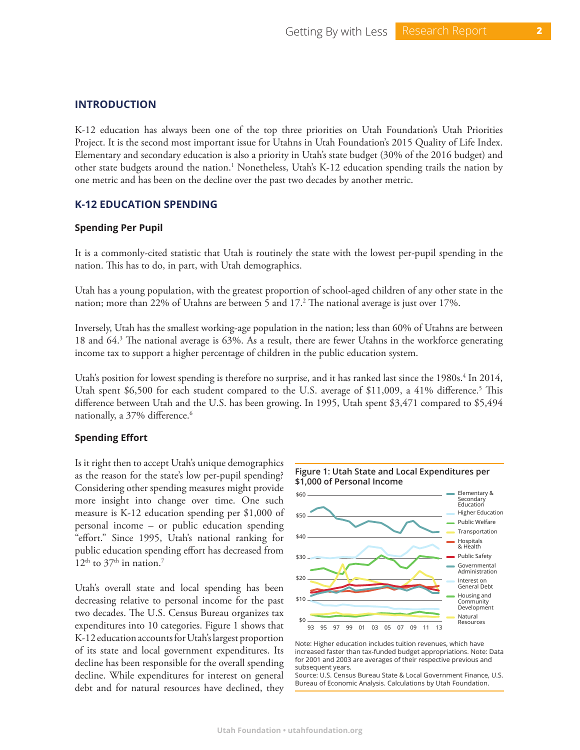#### **INTRODUCTION**

K-12 education has always been one of the top three priorities on Utah Foundation's Utah Priorities Project. It is the second most important issue for Utahns in Utah Foundation's 2015 Quality of Life Index. Elementary and secondary education is also a priority in Utah's state budget (30% of the 2016 budget) and other state budgets around the nation.<sup>1</sup> Nonetheless, Utah's K-12 education spending trails the nation by one metric and has been on the decline over the past two decades by another metric.

#### **K-12 EDUCATION SPENDING**

#### **Spending Per Pupil**

It is a commonly-cited statistic that Utah is routinely the state with the lowest per-pupil spending in the nation. This has to do, in part, with Utah demographics.

Utah has a young population, with the greatest proportion of school-aged children of any other state in the nation; more than 22% of Utahns are between 5 and 17.2 The national average is just over 17%.

Inversely, Utah has the smallest working-age population in the nation; less than 60% of Utahns are between 18 and 64.3 The national average is 63%. As a result, there are fewer Utahns in the workforce generating income tax to support a higher percentage of children in the public education system.

Utah's position for lowest spending is therefore no surprise, and it has ranked last since the 1980s.<sup>4</sup> In 2014, Utah spent \$6,500 for each student compared to the U.S. average of \$11,009, a 41% difference.<sup>5</sup> This difference between Utah and the U.S. has been growing. In 1995, Utah spent \$3,471 compared to \$5,494 nationally, a 37% difference.<sup>6</sup>

#### **Spending Effort**

Is it right then to accept Utah's unique demographics as the reason for the state's low per-pupil spending? Considering other spending measures might provide more insight into change over time. One such measure is K-12 education spending per \$1,000 of personal income – or public education spending "effort." Since 1995, Utah's national ranking for public education spending effort has decreased from  $12<sup>th</sup>$  to  $37<sup>th</sup>$  in nation.<sup>7</sup>

Utah's overall state and local spending has been decreasing relative to personal income for the past two decades. The U.S. Census Bureau organizes tax expenditures into 10 categories. Figure 1 shows that K-12 education accounts for Utah's largest proportion of its state and local government expenditures. Its decline has been responsible for the overall spending decline. While expenditures for interest on general debt and for natural resources have declined, they





Source: U.S. Census Bureau State & Local Government Finance, U.S. Bureau of Economic Analysis. Calculations by Utah Foundation.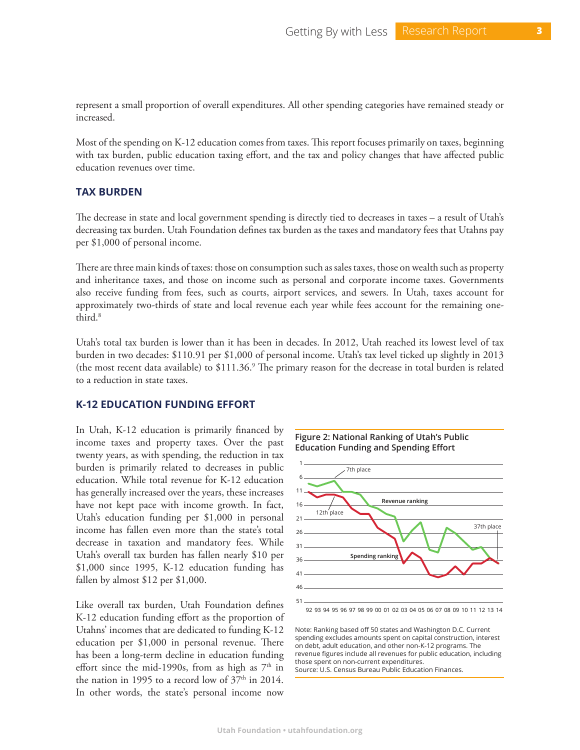represent a small proportion of overall expenditures. All other spending categories have remained steady or increased.

Most of the spending on K-12 education comes from taxes. This report focuses primarily on taxes, beginning with tax burden, public education taxing effort, and the tax and policy changes that have affected public education revenues over time.

# **TAX BURDEN**

The decrease in state and local government spending is directly tied to decreases in taxes – a result of Utah's decreasing tax burden. Utah Foundation defines tax burden as the taxes and mandatory fees that Utahns pay per \$1,000 of personal income.

There are three main kinds of taxes: those on consumption such as sales taxes, those on wealth such as property and inheritance taxes, and those on income such as personal and corporate income taxes. Governments also receive funding from fees, such as courts, airport services, and sewers. In Utah, taxes account for approximately two-thirds of state and local revenue each year while fees account for the remaining onethird.<sup>8</sup>

Utah's total tax burden is lower than it has been in decades. In 2012, Utah reached its lowest level of tax burden in two decades: \$110.91 per \$1,000 of personal income. Utah's tax level ticked up slightly in 2013 (the most recent data available) to \$111.36.<sup>9</sup> The primary reason for the decrease in total burden is related to a reduction in state taxes.

#### **K-12 EDUCATION FUNDING EFFORT**

In Utah, K-12 education is primarily financed by income taxes and property taxes. Over the past twenty years, as with spending, the reduction in tax burden is primarily related to decreases in public education. While total revenue for K-12 education has generally increased over the years, these increases have not kept pace with income growth. In fact, Utah's education funding per \$1,000 in personal income has fallen even more than the state's total decrease in taxation and mandatory fees. While Utah's overall tax burden has fallen nearly \$10 per \$1,000 since 1995, K-12 education funding has fallen by almost \$12 per \$1,000.

Like overall tax burden, Utah Foundation defines K-12 education funding effort as the proportion of Utahns' incomes that are dedicated to funding K-12 education per \$1,000 in personal revenue. There has been a long-term decline in education funding effort since the mid-1990s, from as high as  $7<sup>th</sup>$  in the nation in 1995 to a record low of  $37<sup>th</sup>$  in 2014. In other words, the state's personal income now





92 93 94 95 96 97 98 99 00 01 02 03 04 05 06 07 08 09 10 11 12 13 14

Note: Ranking based off 50 states and Washington D.C. Current spending excludes amounts spent on capital construction, interest on debt, adult education, and other non-K-12 programs. The revenue figures include all revenues for public education, including those spent on non-current expenditures. Source: U.S. Census Bureau Public Education Finances.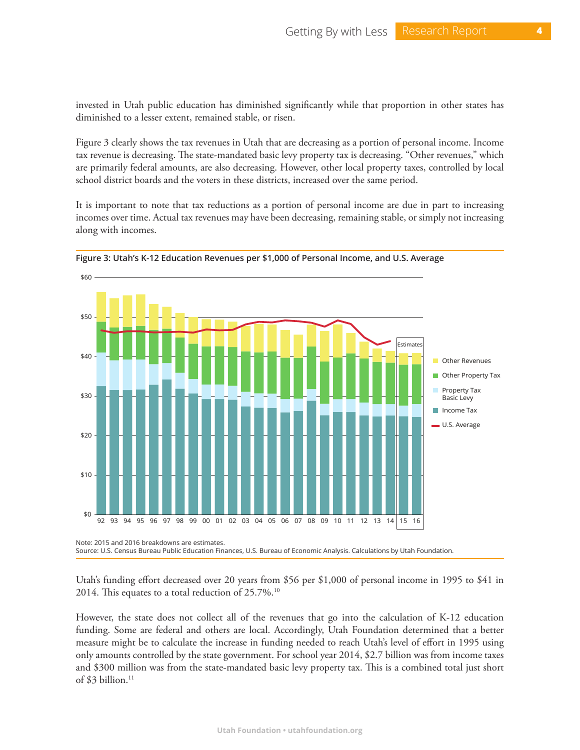invested in Utah public education has diminished significantly while that proportion in other states has diminished to a lesser extent, remained stable, or risen.

Figure 3 clearly shows the tax revenues in Utah that are decreasing as a portion of personal income. Income tax revenue is decreasing. The state-mandated basic levy property tax is decreasing. "Other revenues," which are primarily federal amounts, are also decreasing. However, other local property taxes, controlled by local school district boards and the voters in these districts, increased over the same period.

It is important to note that tax reductions as a portion of personal income are due in part to increasing incomes over time. Actual tax revenues may have been decreasing, remaining stable, or simply not increasing along with incomes.



**Figure 3: Utah's K-12 Education Revenues per \$1,000 of Personal Income, and U.S. Average**

Utah's funding effort decreased over 20 years from \$56 per \$1,000 of personal income in 1995 to \$41 in 2014. This equates to a total reduction of 25.7%.10

However, the state does not collect all of the revenues that go into the calculation of K-12 education funding. Some are federal and others are local. Accordingly, Utah Foundation determined that a better measure might be to calculate the increase in funding needed to reach Utah's level of effort in 1995 using only amounts controlled by the state government. For school year 2014, \$2.7 billion was from income taxes and \$300 million was from the state-mandated basic levy property tax. This is a combined total just short of \$3 billion.<sup>11</sup>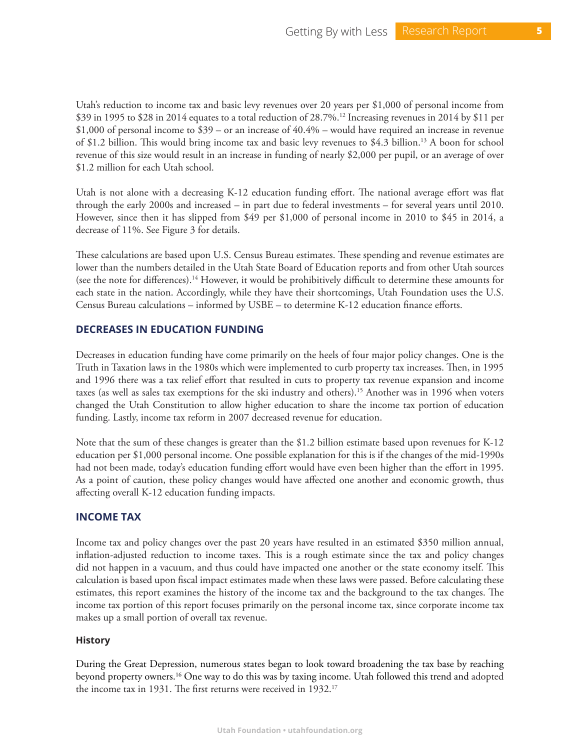Utah's reduction to income tax and basic levy revenues over 20 years per \$1,000 of personal income from \$39 in 1995 to \$28 in 2014 equates to a total reduction of 28.7%.12 Increasing revenues in 2014 by \$11 per \$1,000 of personal income to \$39 – or an increase of 40.4% – would have required an increase in revenue of \$1.2 billion. This would bring income tax and basic levy revenues to \$4.3 billion.13 A boon for school revenue of this size would result in an increase in funding of nearly \$2,000 per pupil, or an average of over \$1.2 million for each Utah school.

Utah is not alone with a decreasing K-12 education funding effort. The national average effort was flat through the early 2000s and increased – in part due to federal investments – for several years until 2010. However, since then it has slipped from \$49 per \$1,000 of personal income in 2010 to \$45 in 2014, a decrease of 11%. See Figure 3 for details.

These calculations are based upon U.S. Census Bureau estimates. These spending and revenue estimates are lower than the numbers detailed in the Utah State Board of Education reports and from other Utah sources (see the note for differences).14 However, it would be prohibitively difficult to determine these amounts for each state in the nation. Accordingly, while they have their shortcomings, Utah Foundation uses the U.S. Census Bureau calculations – informed by USBE – to determine K-12 education finance efforts.

# **DECREASES IN EDUCATION FUNDING**

Decreases in education funding have come primarily on the heels of four major policy changes. One is the Truth in Taxation laws in the 1980s which were implemented to curb property tax increases. Then, in 1995 and 1996 there was a tax relief effort that resulted in cuts to property tax revenue expansion and income taxes (as well as sales tax exemptions for the ski industry and others).15 Another was in 1996 when voters changed the Utah Constitution to allow higher education to share the income tax portion of education funding. Lastly, income tax reform in 2007 decreased revenue for education.

Note that the sum of these changes is greater than the \$1.2 billion estimate based upon revenues for K-12 education per \$1,000 personal income. One possible explanation for this is if the changes of the mid-1990s had not been made, today's education funding effort would have even been higher than the effort in 1995. As a point of caution, these policy changes would have affected one another and economic growth, thus affecting overall K-12 education funding impacts.

# **INCOME TAX**

Income tax and policy changes over the past 20 years have resulted in an estimated \$350 million annual, inflation-adjusted reduction to income taxes. This is a rough estimate since the tax and policy changes did not happen in a vacuum, and thus could have impacted one another or the state economy itself. This calculation is based upon fiscal impact estimates made when these laws were passed. Before calculating these estimates, this report examines the history of the income tax and the background to the tax changes. The income tax portion of this report focuses primarily on the personal income tax, since corporate income tax makes up a small portion of overall tax revenue.

# **History**

During the Great Depression, numerous states began to look toward broadening the tax base by reaching beyond property owners.16 One way to do this was by taxing income. Utah followed this trend and adopted the income tax in 1931. The first returns were received in 1932.17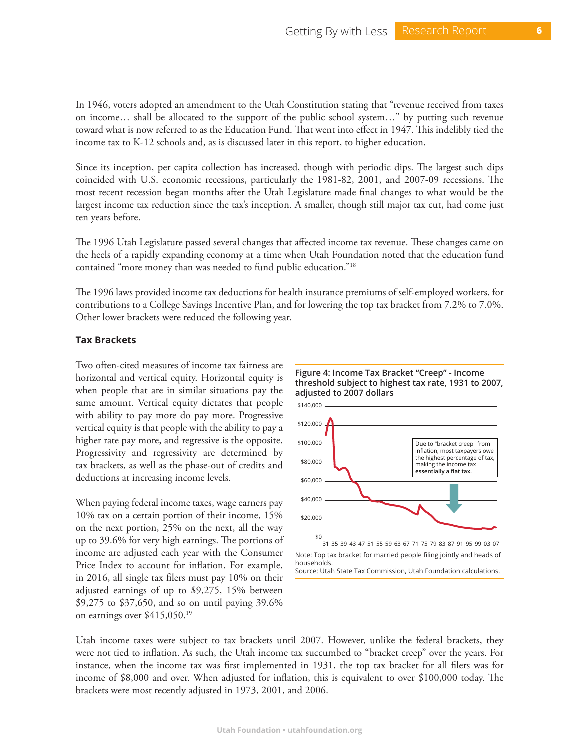In 1946, voters adopted an amendment to the Utah Constitution stating that "revenue received from taxes on income… shall be allocated to the support of the public school system…" by putting such revenue toward what is now referred to as the Education Fund. That went into effect in 1947. This indelibly tied the income tax to K-12 schools and, as is discussed later in this report, to higher education.

Since its inception, per capita collection has increased, though with periodic dips. The largest such dips coincided with U.S. economic recessions, particularly the 1981-82, 2001, and 2007-09 recessions. The most recent recession began months after the Utah Legislature made final changes to what would be the largest income tax reduction since the tax's inception. A smaller, though still major tax cut, had come just ten years before.

The 1996 Utah Legislature passed several changes that affected income tax revenue. These changes came on the heels of a rapidly expanding economy at a time when Utah Foundation noted that the education fund contained "more money than was needed to fund public education."18

The 1996 laws provided income tax deductions for health insurance premiums of self-employed workers, for contributions to a College Savings Incentive Plan, and for lowering the top tax bracket from 7.2% to 7.0%. Other lower brackets were reduced the following year.

#### **Tax Brackets**

Two often-cited measures of income tax fairness are horizontal and vertical equity. Horizontal equity is when people that are in similar situations pay the same amount. Vertical equity dictates that people with ability to pay more do pay more. Progressive vertical equity is that people with the ability to pay a higher rate pay more, and regressive is the opposite. Progressivity and regressivity are determined by tax brackets, as well as the phase-out of credits and deductions at increasing income levels.

When paying federal income taxes, wage earners pay 10% tax on a certain portion of their income, 15% on the next portion, 25% on the next, all the way up to 39.6% for very high earnings. The portions of income are adjusted each year with the Consumer Price Index to account for inflation. For example, in 2016, all single tax filers must pay 10% on their adjusted earnings of up to \$9,275, 15% between \$9,275 to \$37,650, and so on until paying 39.6% on earnings over \$415,050.19



**Figure 4: Income Tax Bracket "Creep" - Income threshold subject to highest tax rate, 1931 to 2007,** 

Utah income taxes were subject to tax brackets until 2007. However, unlike the federal brackets, they were not tied to inflation. As such, the Utah income tax succumbed to "bracket creep" over the years. For instance, when the income tax was first implemented in 1931, the top tax bracket for all filers was for income of \$8,000 and over. When adjusted for inflation, this is equivalent to over \$100,000 today. The brackets were most recently adjusted in 1973, 2001, and 2006.

Note: Top tax bracket for married people filing jointly and heads of households. Source: Utah State Tax Commission, Utah Foundation calculations.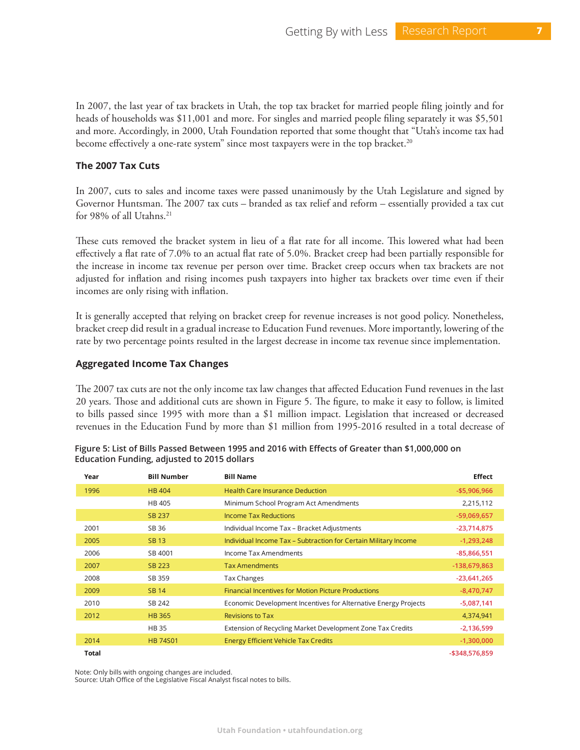In 2007, the last year of tax brackets in Utah, the top tax bracket for married people filing jointly and for heads of households was \$11,001 and more. For singles and married people filing separately it was \$5,501 and more. Accordingly, in 2000, Utah Foundation reported that some thought that "Utah's income tax had become effectively a one-rate system" since most taxpayers were in the top bracket.<sup>20</sup>

# **The 2007 Tax Cuts**

In 2007, cuts to sales and income taxes were passed unanimously by the Utah Legislature and signed by Governor Huntsman. The 2007 tax cuts – branded as tax relief and reform – essentially provided a tax cut for 98% of all Utahns.<sup>21</sup>

These cuts removed the bracket system in lieu of a flat rate for all income. This lowered what had been effectively a flat rate of 7.0% to an actual flat rate of 5.0%. Bracket creep had been partially responsible for the increase in income tax revenue per person over time. Bracket creep occurs when tax brackets are not adjusted for inflation and rising incomes push taxpayers into higher tax brackets over time even if their incomes are only rising with inflation.

It is generally accepted that relying on bracket creep for revenue increases is not good policy. Nonetheless, bracket creep did result in a gradual increase to Education Fund revenues. More importantly, lowering of the rate by two percentage points resulted in the largest decrease in income tax revenue since implementation.

# **Aggregated Income Tax Changes**

The 2007 tax cuts are not the only income tax law changes that affected Education Fund revenues in the last 20 years. Those and additional cuts are shown in Figure 5. The figure, to make it easy to follow, is limited to bills passed since 1995 with more than a \$1 million impact. Legislation that increased or decreased revenues in the Education Fund by more than \$1 million from 1995-2016 resulted in a total decrease of

| Year  | <b>Bill Number</b> | <b>Bill Name</b>                                                | <b>Effect</b>  |
|-------|--------------------|-----------------------------------------------------------------|----------------|
| 1996  | <b>HB 404</b>      | <b>Health Care Insurance Deduction</b>                          | -\$5,906,966   |
|       | HB 405             | Minimum School Program Act Amendments                           | 2,215,112      |
|       | SB 237             | <b>Income Tax Reductions</b>                                    | $-59,069,657$  |
| 2001  | SB 36              | Individual Income Tax - Bracket Adjustments                     | $-23,714,875$  |
| 2005  | <b>SB13</b>        | Individual Income Tax – Subtraction for Certain Military Income | $-1,293,248$   |
| 2006  | SB 4001            | Income Tax Amendments                                           | $-85,866,551$  |
| 2007  | SB 223             | <b>Tax Amendments</b>                                           | -138,679,863   |
| 2008  | SB 359             | Tax Changes                                                     | $-23,641,265$  |
| 2009  | <b>SB14</b>        | <b>Financial Incentives for Motion Picture Productions</b>      | $-8,470,747$   |
| 2010  | SB 242             | Economic Development Incentives for Alternative Energy Projects | $-5,087,141$   |
| 2012  | <b>HB 365</b>      | <b>Revisions to Tax</b>                                         | 4,374,941      |
|       | <b>HB35</b>        | Extension of Recycling Market Development Zone Tax Credits      | $-2,136,599$   |
| 2014  | <b>HB 74S01</b>    | <b>Energy Efficient Vehicle Tax Credits</b>                     | $-1,300,000$   |
| Total |                    |                                                                 | -\$348,576,859 |

| Figure 5: List of Bills Passed Between 1995 and 2016 with Effects of Greater than \$1,000,000 on |  |  |  |
|--------------------------------------------------------------------------------------------------|--|--|--|
| Education Funding, adjusted to 2015 dollars                                                      |  |  |  |

Note: Only bills with ongoing changes are included.

Source: Utah Office of the Legislative Fiscal Analyst fiscal notes to bills.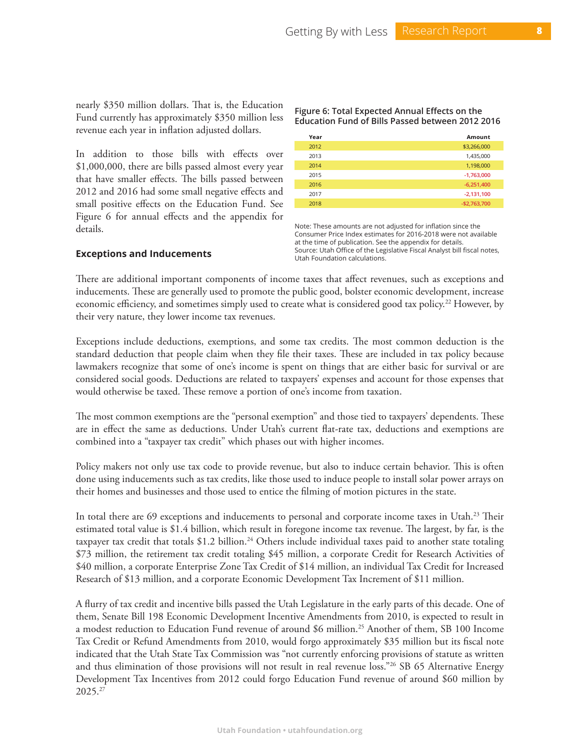nearly \$350 million dollars. That is, the Education Fund currently has approximately \$350 million less revenue each year in inflation adjusted dollars.

In addition to those bills with effects over \$1,000,000, there are bills passed almost every year that have smaller effects. The bills passed between 2012 and 2016 had some small negative effects and small positive effects on the Education Fund. See Figure 6 for annual effects and the appendix for details.

**Figure 6: Total Expected Annual Effects on the Education Fund of Bills Passed between 2012 2016**

| Year | Amount        |
|------|---------------|
| 2012 | \$3,266,000   |
| 2013 | 1,435,000     |
| 2014 | 1,198,000     |
| 2015 | $-1,763,000$  |
| 2016 | $-6,251,400$  |
| 2017 | $-2,131,100$  |
| 2018 | $-$2,763,700$ |

Note: These amounts are not adjusted for inflation since the Consumer Price Index estimates for 2016-2018 were not available at the time of publication. See the appendix for details. Source: Utah Office of the Legislative Fiscal Analyst bill fiscal notes, Utah Foundation calculations.

# **Exceptions and Inducements**

There are additional important components of income taxes that affect revenues, such as exceptions and inducements. These are generally used to promote the public good, bolster economic development, increase economic efficiency, and sometimes simply used to create what is considered good tax policy.<sup>22</sup> However, by their very nature, they lower income tax revenues.

Exceptions include deductions, exemptions, and some tax credits. The most common deduction is the standard deduction that people claim when they file their taxes. These are included in tax policy because lawmakers recognize that some of one's income is spent on things that are either basic for survival or are considered social goods. Deductions are related to taxpayers' expenses and account for those expenses that would otherwise be taxed. These remove a portion of one's income from taxation.

The most common exemptions are the "personal exemption" and those tied to taxpayers' dependents. These are in effect the same as deductions. Under Utah's current flat-rate tax, deductions and exemptions are combined into a "taxpayer tax credit" which phases out with higher incomes.

Policy makers not only use tax code to provide revenue, but also to induce certain behavior. This is often done using inducements such as tax credits, like those used to induce people to install solar power arrays on their homes and businesses and those used to entice the filming of motion pictures in the state.

In total there are 69 exceptions and inducements to personal and corporate income taxes in Utah.<sup>23</sup> Their estimated total value is \$1.4 billion, which result in foregone income tax revenue. The largest, by far, is the taxpayer tax credit that totals \$1.2 billion.<sup>24</sup> Others include individual taxes paid to another state totaling \$73 million, the retirement tax credit totaling \$45 million, a corporate Credit for Research Activities of \$40 million, a corporate Enterprise Zone Tax Credit of \$14 million, an individual Tax Credit for Increased Research of \$13 million, and a corporate Economic Development Tax Increment of \$11 million.

A flurry of tax credit and incentive bills passed the Utah Legislature in the early parts of this decade. One of them, Senate Bill 198 Economic Development Incentive Amendments from 2010, is expected to result in a modest reduction to Education Fund revenue of around \$6 million.25 Another of them, SB 100 Income Tax Credit or Refund Amendments from 2010, would forgo approximately \$35 million but its fiscal note indicated that the Utah State Tax Commission was "not currently enforcing provisions of statute as written and thus elimination of those provisions will not result in real revenue loss."26 SB 65 Alternative Energy Development Tax Incentives from 2012 could forgo Education Fund revenue of around \$60 million by 2025.27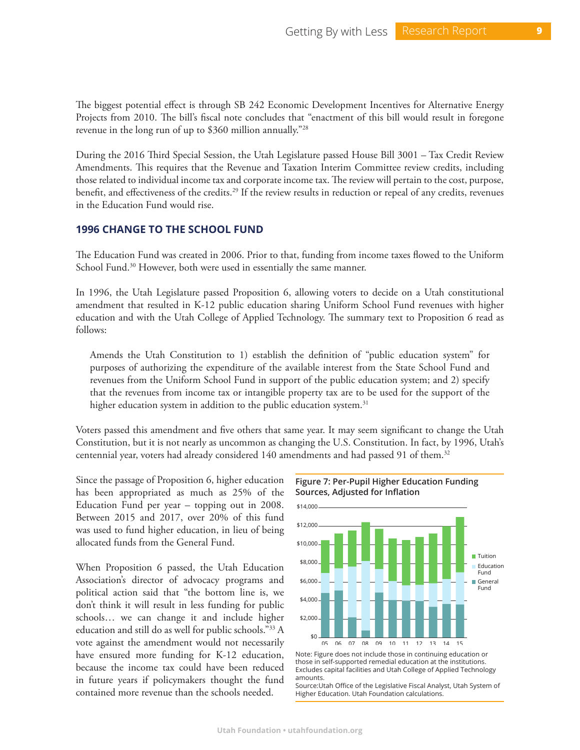The biggest potential effect is through SB 242 Economic Development Incentives for Alternative Energy Projects from 2010. The bill's fiscal note concludes that "enactment of this bill would result in foregone revenue in the long run of up to \$360 million annually."28

During the 2016 Third Special Session, the Utah Legislature passed House Bill 3001 – Tax Credit Review Amendments. This requires that the Revenue and Taxation Interim Committee review credits, including those related to individual income tax and corporate income tax. The review will pertain to the cost, purpose, benefit, and effectiveness of the credits.<sup>29</sup> If the review results in reduction or repeal of any credits, revenues in the Education Fund would rise.

# **1996 CHANGE TO THE SCHOOL FUND**

The Education Fund was created in 2006. Prior to that, funding from income taxes flowed to the Uniform School Fund.<sup>30</sup> However, both were used in essentially the same manner.

In 1996, the Utah Legislature passed Proposition 6, allowing voters to decide on a Utah constitutional amendment that resulted in K-12 public education sharing Uniform School Fund revenues with higher education and with the Utah College of Applied Technology. The summary text to Proposition 6 read as follows:

Amends the Utah Constitution to 1) establish the definition of "public education system" for purposes of authorizing the expenditure of the available interest from the State School Fund and revenues from the Uniform School Fund in support of the public education system; and 2) specify that the revenues from income tax or intangible property tax are to be used for the support of the higher education system in addition to the public education system.<sup>31</sup>

Voters passed this amendment and five others that same year. It may seem significant to change the Utah Constitution, but it is not nearly as uncommon as changing the U.S. Constitution. In fact, by 1996, Utah's centennial year, voters had already considered 140 amendments and had passed 91 of them.<sup>32</sup>

Since the passage of Proposition 6, higher education has been appropriated as much as 25% of the Education Fund per year – topping out in 2008. Between 2015 and 2017, over 20% of this fund was used to fund higher education, in lieu of being allocated funds from the General Fund.

When Proposition 6 passed, the Utah Education Association's director of advocacy programs and political action said that "the bottom line is, we don't think it will result in less funding for public schools… we can change it and include higher education and still do as well for public schools."33 A vote against the amendment would not necessarily have ensured more funding for K-12 education, because the income tax could have been reduced in future years if policymakers thought the fund contained more revenue than the schools needed.



**Figure 7: Per-Pupil Higher Education Funding** 

Note: Figure does not include those in continuing education or those in self-supported remedial education at the institutions. Excludes capital facilities and Utah College of Applied Technology amounts.

Source:Utah Office of the Legislative Fiscal Analyst, Utah System of Higher Education. Utah Foundation calculations.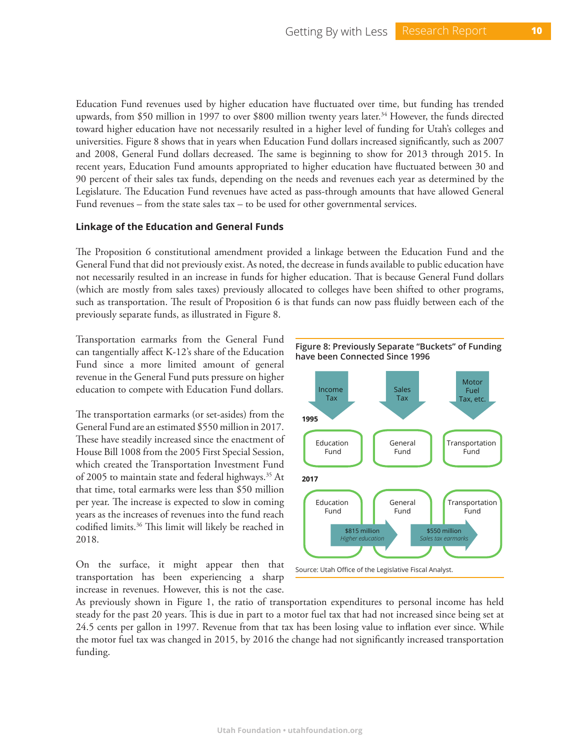Education Fund revenues used by higher education have fluctuated over time, but funding has trended upwards, from \$50 million in 1997 to over \$800 million twenty years later.<sup>34</sup> However, the funds directed toward higher education have not necessarily resulted in a higher level of funding for Utah's colleges and universities. Figure 8 shows that in years when Education Fund dollars increased significantly, such as 2007 and 2008, General Fund dollars decreased. The same is beginning to show for 2013 through 2015. In recent years, Education Fund amounts appropriated to higher education have fluctuated between 30 and 90 percent of their sales tax funds, depending on the needs and revenues each year as determined by the Legislature. The Education Fund revenues have acted as pass-through amounts that have allowed General Fund revenues – from the state sales  $tax - to$  be used for other governmental services.

# **Linkage of the Education and General Funds**

The Proposition 6 constitutional amendment provided a linkage between the Education Fund and the General Fund that did not previously exist. As noted, the decrease in funds available to public education have not necessarily resulted in an increase in funds for higher education. That is because General Fund dollars (which are mostly from sales taxes) previously allocated to colleges have been shifted to other programs, such as transportation. The result of Proposition 6 is that funds can now pass fluidly between each of the previously separate funds, as illustrated in Figure 8.

Transportation earmarks from the General Fund can tangentially affect K-12's share of the Education Fund since a more limited amount of general revenue in the General Fund puts pressure on higher education to compete with Education Fund dollars.

The transportation earmarks (or set-asides) from the General Fund are an estimated \$550 million in 2017. These have steadily increased since the enactment of House Bill 1008 from the 2005 First Special Session, which created the Transportation Investment Fund of 2005 to maintain state and federal highways.<sup>35</sup> At that time, total earmarks were less than \$50 million per year. The increase is expected to slow in coming years as the increases of revenues into the fund reach codified limits.36 This limit will likely be reached in 2018.

On the surface, it might appear then that transportation has been experiencing a sharp increase in revenues. However, this is not the case.







As previously shown in Figure 1, the ratio of transportation expenditures to personal income has held steady for the past 20 years. This is due in part to a motor fuel tax that had not increased since being set at 24.5 cents per gallon in 1997. Revenue from that tax has been losing value to inflation ever since. While the motor fuel tax was changed in 2015, by 2016 the change had not significantly increased transportation funding.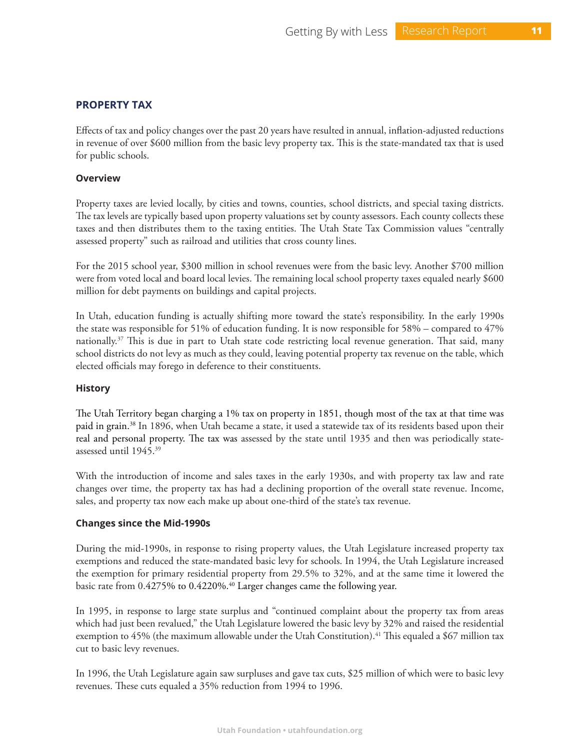# **PROPERTY TAX**

Effects of tax and policy changes over the past 20 years have resulted in annual, inflation-adjusted reductions in revenue of over \$600 million from the basic levy property tax. This is the state-mandated tax that is used for public schools.

#### **Overview**

Property taxes are levied locally, by cities and towns, counties, school districts, and special taxing districts. The tax levels are typically based upon property valuations set by county assessors. Each county collects these taxes and then distributes them to the taxing entities. The Utah State Tax Commission values "centrally assessed property" such as railroad and utilities that cross county lines.

For the 2015 school year, \$300 million in school revenues were from the basic levy. Another \$700 million were from voted local and board local levies. The remaining local school property taxes equaled nearly \$600 million for debt payments on buildings and capital projects.

In Utah, education funding is actually shifting more toward the state's responsibility. In the early 1990s the state was responsible for 51% of education funding. It is now responsible for 58% – compared to 47% nationally.<sup>37</sup> This is due in part to Utah state code restricting local revenue generation. That said, many school districts do not levy as much as they could, leaving potential property tax revenue on the table, which elected officials may forego in deference to their constituents.

# **History**

The Utah Territory began charging a 1% tax on property in 1851, though most of the tax at that time was paid in grain.38 In 1896, when Utah became a state, it used a statewide tax of its residents based upon their real and personal property. The tax was assessed by the state until 1935 and then was periodically stateassessed until 1945.39

With the introduction of income and sales taxes in the early 1930s, and with property tax law and rate changes over time, the property tax has had a declining proportion of the overall state revenue. Income, sales, and property tax now each make up about one-third of the state's tax revenue.

# **Changes since the Mid-1990s**

During the mid-1990s, in response to rising property values, the Utah Legislature increased property tax exemptions and reduced the state-mandated basic levy for schools. In 1994, the Utah Legislature increased the exemption for primary residential property from 29.5% to 32%, and at the same time it lowered the basic rate from 0.4275% to 0.4220%.<sup>40</sup> Larger changes came the following year.

In 1995, in response to large state surplus and "continued complaint about the property tax from areas which had just been revalued," the Utah Legislature lowered the basic levy by 32% and raised the residential exemption to 45% (the maximum allowable under the Utah Constitution).<sup>41</sup> This equaled a \$67 million tax cut to basic levy revenues.

In 1996, the Utah Legislature again saw surpluses and gave tax cuts, \$25 million of which were to basic levy revenues. These cuts equaled a 35% reduction from 1994 to 1996.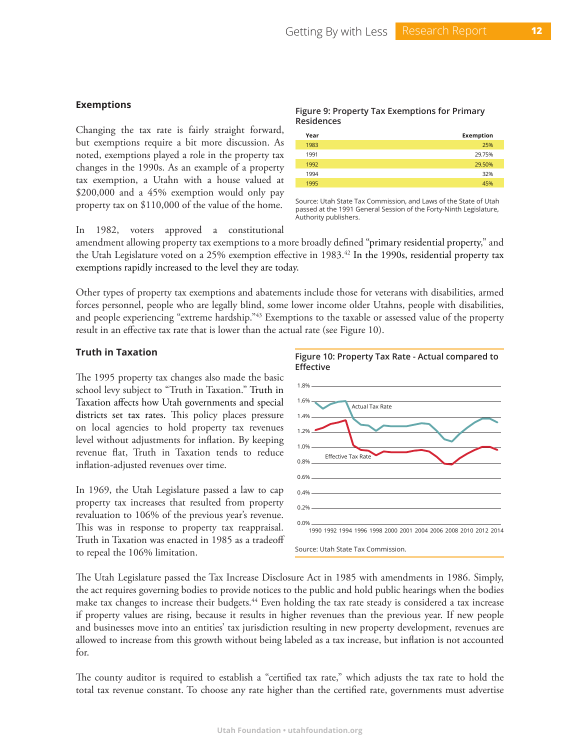#### **Exemptions**

Changing the tax rate is fairly straight forward, but exemptions require a bit more discussion. As noted, exemptions played a role in the property tax changes in the 1990s. As an example of a property tax exemption, a Utahn with a house valued at \$200,000 and a 45% exemption would only pay property tax on \$110,000 of the value of the home.

In 1982, voters approved a constitutional

#### **Figure 9: Property Tax Exemptions for Primary Residences**

| Year | Exemption |
|------|-----------|
| 1983 | 25%       |
| 1991 | 29.75%    |
| 1992 | 29.50%    |
| 1994 | 32%       |
| 1995 | 45%       |
|      |           |

Source: Utah State Tax Commission, and Laws of the State of Utah passed at the 1991 General Session of the Forty-Ninth Legislature, Authority publishers.

amendment allowing property tax exemptions to a more broadly defined "primary residential property," and the Utah Legislature voted on a 25% exemption effective in 1983.<sup>42</sup> In the 1990s, residential property tax exemptions rapidly increased to the level they are today.

Other types of property tax exemptions and abatements include those for veterans with disabilities, armed forces personnel, people who are legally blind, some lower income older Utahns, people with disabilities, and people experiencing "extreme hardship."<sup>43</sup> Exemptions to the taxable or assessed value of the property result in an effective tax rate that is lower than the actual rate (see Figure 10).

#### **Truth in Taxation**

The 1995 property tax changes also made the basic school levy subject to "Truth in Taxation." Truth in Taxation affects how Utah governments and special districts set tax rates. This policy places pressure on local agencies to hold property tax revenues level without adjustments for inflation. By keeping revenue flat, Truth in Taxation tends to reduce inflation-adjusted revenues over time.

In 1969, the Utah Legislature passed a law to cap property tax increases that resulted from property revaluation to 106% of the previous year's revenue. This was in response to property tax reappraisal. Truth in Taxation was enacted in 1985 as a tradeoff to repeal the 106% limitation.



The Utah Legislature passed the Tax Increase Disclosure Act in 1985 with amendments in 1986. Simply, the act requires governing bodies to provide notices to the public and hold public hearings when the bodies make tax changes to increase their budgets.<sup>44</sup> Even holding the tax rate steady is considered a tax increase if property values are rising, because it results in higher revenues than the previous year. If new people and businesses move into an entities' tax jurisdiction resulting in new property development, revenues are allowed to increase from this growth without being labeled as a tax increase, but inflation is not accounted for.

The county auditor is required to establish a "certified tax rate," which adjusts the tax rate to hold the total tax revenue constant. To choose any rate higher than the certified rate, governments must advertise

**Figure 10: Property Tax Rate - Actual compared to**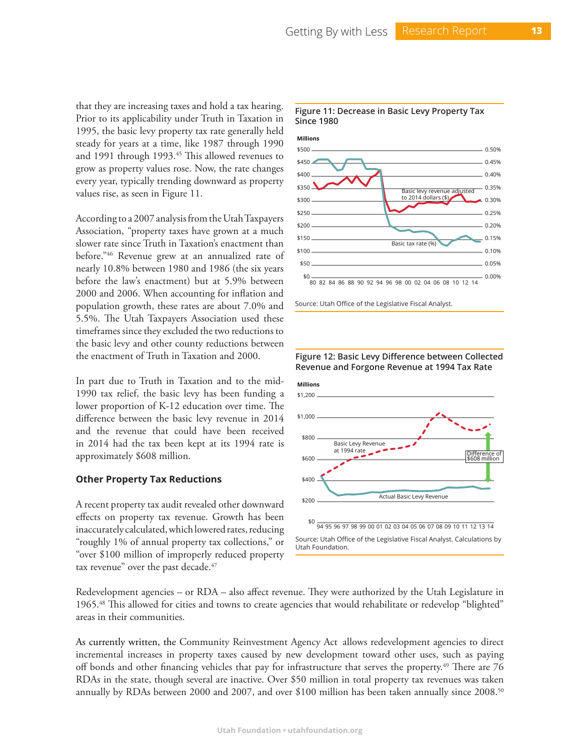that they are increasing taxes and hold a tax hearing. Prior to its applicability under Truth in Taxation in 1995, the basic levy property tax rate generally held steady for years at a time, like 1987 through 1990 and 1991 through 1993.<sup>45</sup> This allowed revenues to grow as property values rose. Now, the rate changes every year, typically trending downward as property values rise, as seen in Figure 11.

According to a 2007 analysis from the Utah Taxpayers Association, "property taxes have grown at a much slower rate since Truth in Taxation's enactment than before."46 Revenue grew at an annualized rate of nearly 10.8% between 1980 and 1986 (the six years before the law's enactment) but at 5.9% between 2000 and 2006. When accounting for inflation and population growth, these rates are about 7.0% and 5.5%. The Utah Taxpayers Association used these timeframes since they excluded the two reductions to the basic levy and other county reductions between the enactment of Truth in Taxation and 2000.

In part due to Truth in Taxation and to the mid-1990 tax relief, the basic levy has been funding a lower proportion of K-12 education over time. The difference between the basic levy revenue in 2014 and the revenue that could have been received in 2014 had the tax been kept at its 1994 rate is approximately \$608 million.

#### **Other Property Tax Reductions**

A recent property tax audit revealed other downward effects on property tax revenue. Growth has been inaccurately calculated, which lowered rates, reducing "roughly 1% of annual property tax collections," or "over \$100 million of improperly reduced property tax revenue" over the past decade.<sup>47</sup>

#### **Figure 11: Decrease in Basic Levy Property Tax Since 1980**



Source: Utah Office of the Legislative Fiscal Analyst.



**Figure 12: Basic Levy Difference between Collected**

Redevelopment agencies – or RDA – also affect revenue. They were authorized by the Utah Legislature in 1965.48 This allowed for cities and towns to create agencies that would rehabilitate or redevelop "blighted" areas in their communities.

As currently written, the Community Reinvestment Agency Act allows redevelopment agencies to direct incremental increases in property taxes caused by new development toward other uses, such as paying off bonds and other financing vehicles that pay for infrastructure that serves the property.<sup>49</sup> There are 76 RDAs in the state, though several are inactive. Over \$50 million in total property tax revenues was taken annually by RDAs between 2000 and 2007, and over \$100 million has been taken annually since 2008.50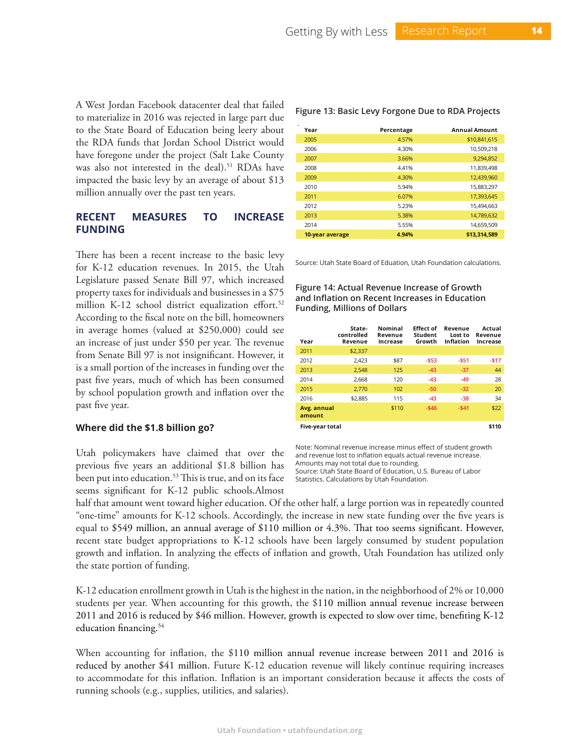A West Jordan Facebook datacenter deal that failed to materialize in 2016 was rejected in large part due to the State Board of Education being leery about the RDA funds that Jordan School District would have foregone under the project (Salt Lake County was also not interested in the deal).<sup>51</sup> RDAs have impacted the basic levy by an average of about \$13 million annually over the past ten years.

# **RECENT MEASURES TO INCREASE FUNDING**

There has been a recent increase to the basic levy for K-12 education revenues. In 2015, the Utah Legislature passed Senate Bill 97, which increased property taxes for individuals and businesses in a \$75 million K-12 school district equalization effort.<sup>52</sup> According to the fiscal note on the bill, homeowners in average homes (valued at \$250,000) could see an increase of just under \$50 per year. The revenue from Senate Bill 97 is not insignificant. However, it is a small portion of the increases in funding over the past five years, much of which has been consumed by school population growth and inflation over the past five year.

#### **Where did the \$1.8 billion go?**

Utah policymakers have claimed that over the previous five years an additional \$1.8 billion has been put into education.<sup>53</sup> This is true, and on its face seems significant for K-12 public schools.Almost

**Year Percentage Annual Amount** 2005 **4.57%** \$10,841,615 2006 4.30% 10,509,218 2007 3.66% 9,294,852 2008 4.41% 11,839,498 2009 4.30% 12,439,960 2010 5.94% 15,883,297 2011 6.07% 17,393,645 2012 5.23% 15,494,663 2013 5.38% 14,789,632 2014 5.55% 14,659,509 **10-year average 4.94% \$13,314,589**

**Figure 13: Basic Levy Forgone Due to RDA Projects**

Source: Utah State Board of Eduation, Utah Foundation calculations.

**Figure 14: Actual Revenue Increase of Growth and Inflation on Recent Increases in Education Funding, Millions of Dollars**

| Year                   | State-<br>controlled<br>Revenue | Nominal<br>Revenue<br>Increase | <b>Effect of</b><br>Student<br>Growth | Revenue<br>Lost to<br><b>Inflation</b> | Actual<br>Revenue<br>Increase |
|------------------------|---------------------------------|--------------------------------|---------------------------------------|----------------------------------------|-------------------------------|
| 2011                   | \$2,337                         |                                |                                       |                                        |                               |
| 2012                   | 2.423                           | \$87                           | $-553$                                | $-551$                                 | $-517$                        |
| 2013                   | 2,548                           | 125                            | $-43$                                 | $-37$                                  | 44                            |
| 2014                   | 2.668                           | 120                            | $-43$                                 | $-49$                                  | 28                            |
| 2015                   | 2.770                           | 102                            | $-50$                                 | $-32$                                  | 20                            |
| 2016                   | \$2,885                         | 115                            | $-43$                                 | $-38$                                  | 34                            |
| Avg. annual<br>amount  |                                 | \$110                          | $-546$                                | $-541$                                 | \$22                          |
| <b>Five-vear total</b> |                                 |                                |                                       |                                        | \$110                         |

Note: Nominal revenue increase minus effect of student growth and revenue lost to inflation equals actual revenue increase. Amounts may not total due to rounding. Source: Utah State Board of Education, U.S. Bureau of Labor Statistics. Calculations by Utah Foundation.

half that amount went toward higher education. Of the other half, a large portion was in repeatedly counted "one-time" amounts for K-12 schools. Accordingly, the increase in new state funding over the five years is equal to \$549 million, an annual average of \$110 million or 4.3%. That too seems significant. However, recent state budget appropriations to K-12 schools have been largely consumed by student population growth and inflation. In analyzing the effects of inflation and growth, Utah Foundation has utilized only the state portion of funding.

K-12 education enrollment growth in Utah is the highest in the nation, in the neighborhood of 2% or 10,000 students per year. When accounting for this growth, the \$110 million annual revenue increase between 2011 and 2016 is reduced by \$46 million. However, growth is expected to slow over time, benefiting K-12 education financing.<sup>54</sup>

When accounting for inflation, the \$110 million annual revenue increase between 2011 and 2016 is reduced by another \$41 million. Future K-12 education revenue will likely continue requiring increases to accommodate for this inflation. Inflation is an important consideration because it affects the costs of running schools (e.g., supplies, utilities, and salaries).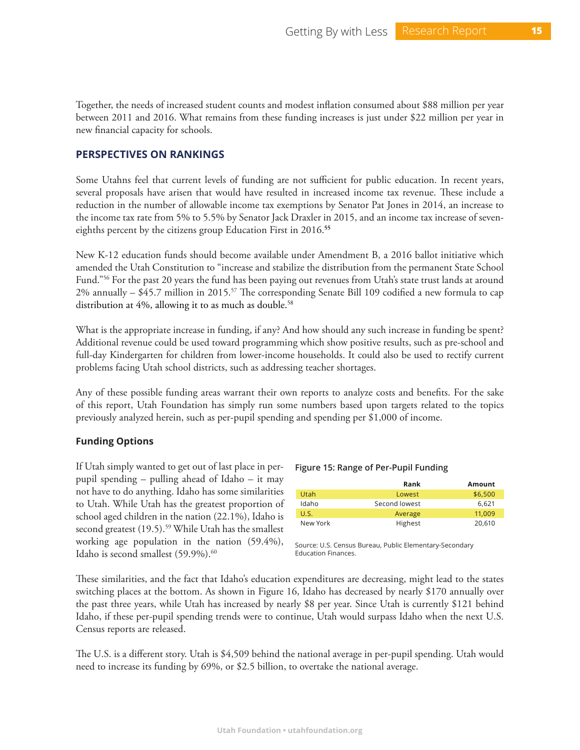Together, the needs of increased student counts and modest inflation consumed about \$88 million per year between 2011 and 2016. What remains from these funding increases is just under \$22 million per year in new financial capacity for schools.

# **PERSPECTIVES ON RANKINGS**

Some Utahns feel that current levels of funding are not sufficient for public education. In recent years, several proposals have arisen that would have resulted in increased income tax revenue. These include a reduction in the number of allowable income tax exemptions by Senator Pat Jones in 2014, an increase to the income tax rate from 5% to 5.5% by Senator Jack Draxler in 2015, and an income tax increase of seveneighths percent by the citizens group Education First in 2016.**<sup>55</sup>**

New K-12 education funds should become available under Amendment B, a 2016 ballot initiative which amended the Utah Constitution to "increase and stabilize the distribution from the permanent State School Fund."56 For the past 20 years the fund has been paying out revenues from Utah's state trust lands at around 2% annually  $-$  \$45.7 million in 2015.<sup>57</sup> The corresponding Senate Bill 109 codified a new formula to cap distribution at 4%, allowing it to as much as double.<sup>58</sup>

What is the appropriate increase in funding, if any? And how should any such increase in funding be spent? Additional revenue could be used toward programming which show positive results, such as pre-school and full-day Kindergarten for children from lower-income households. It could also be used to rectify current problems facing Utah school districts, such as addressing teacher shortages.

Any of these possible funding areas warrant their own reports to analyze costs and benefits. For the sake of this report, Utah Foundation has simply run some numbers based upon targets related to the topics previously analyzed herein, such as per-pupil spending and spending per \$1,000 of income.

#### **Funding Options**

If Utah simply wanted to get out of last place in perpupil spending – pulling ahead of Idaho – it may not have to do anything. Idaho has some similarities to Utah. While Utah has the greatest proportion of school aged children in the nation (22.1%), Idaho is second greatest (19.5).<sup>59</sup> While Utah has the smallest working age population in the nation (59.4%), Idaho is second smallest  $(59.9\%)$ .<sup>60</sup>

#### **Figure 15: Range of Per-Pupil Funding**

|          | Rank          | Amount  |
|----------|---------------|---------|
| Utah     | Lowest        | \$6.500 |
| Idaho    | Second lowest | 6.621   |
| U.S.     | Average       | 11.009  |
| New York | Highest       | 20,610  |

Source: U.S. Census Bureau, Public Elementary-Secondary Education Finances.

These similarities, and the fact that Idaho's education expenditures are decreasing, might lead to the states switching places at the bottom. As shown in Figure 16, Idaho has decreased by nearly \$170 annually over the past three years, while Utah has increased by nearly \$8 per year. Since Utah is currently \$121 behind Idaho, if these per-pupil spending trends were to continue, Utah would surpass Idaho when the next U.S. Census reports are released.

The U.S. is a different story. Utah is \$4,509 behind the national average in per-pupil spending. Utah would need to increase its funding by 69%, or \$2.5 billion, to overtake the national average.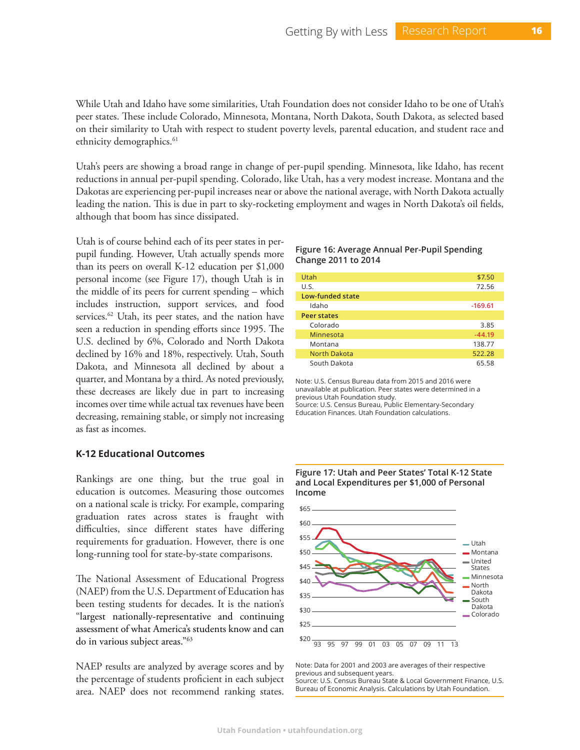While Utah and Idaho have some similarities, Utah Foundation does not consider Idaho to be one of Utah's peer states. These include Colorado, Minnesota, Montana, North Dakota, South Dakota, as selected based on their similarity to Utah with respect to student poverty levels, parental education, and student race and ethnicity demographics.<sup>61</sup>

Utah's peers are showing a broad range in change of per-pupil spending. Minnesota, like Idaho, has recent reductions in annual per-pupil spending. Colorado, like Utah, has a very modest increase. Montana and the Dakotas are experiencing per-pupil increases near or above the national average, with North Dakota actually leading the nation. This is due in part to sky-rocketing employment and wages in North Dakota's oil fields, although that boom has since dissipated.

Utah is of course behind each of its peer states in perpupil funding. However, Utah actually spends more than its peers on overall K-12 education per \$1,000 personal income (see Figure 17), though Utah is in the middle of its peers for current spending – which includes instruction, support services, and food services.<sup>62</sup> Utah, its peer states, and the nation have seen a reduction in spending efforts since 1995. The U.S. declined by 6%, Colorado and North Dakota declined by 16% and 18%, respectively. Utah, South Dakota, and Minnesota all declined by about a quarter, and Montana by a third. As noted previously, these decreases are likely due in part to increasing incomes over time while actual tax revenues have been decreasing, remaining stable, or simply not increasing as fast as incomes.

# **K-12 Educational Outcomes**

Rankings are one thing, but the true goal in education is outcomes. Measuring those outcomes on a national scale is tricky. For example, comparing graduation rates across states is fraught with difficulties, since different states have differing requirements for graduation. However, there is one long-running tool for state-by-state comparisons.

The National Assessment of Educational Progress (NAEP) from the U.S. Department of Education has been testing students for decades. It is the nation's "largest nationally-representative and continuing assessment of what America's students know and can do in various subject areas."63

NAEP results are analyzed by average scores and by the percentage of students proficient in each subject area. NAEP does not recommend ranking states.

#### **Figure 16: Average Annual Per-Pupil Spending Change 2011 to 2014**

| Utah                    | \$7.50    |
|-------------------------|-----------|
| U.S.                    | 72.56     |
| <b>Low-funded state</b> |           |
| Idaho                   | $-169.61$ |
| <b>Peer states</b>      |           |
| Colorado                | 3.85      |
| Minnesota               | $-44.19$  |
| Montana                 | 138.77    |
| <b>North Dakota</b>     | 522.28    |
| South Dakota            | 65.58     |

Note: U.S. Census Bureau data from 2015 and 2016 were unavailable at publication. Peer states were determined in a previous Utah Foundation study.

Source: U.S. Census Bureau, Public Elementary-Secondary Education Finances. Utah Foundation calculations.



Note: Data for 2001 and 2003 are averages of their respective previous and subsequent years. Source: U.S. Census Bureau State & Local Government Finance, U.S. Bureau of Economic Analysis. Calculations by Utah Foundation.

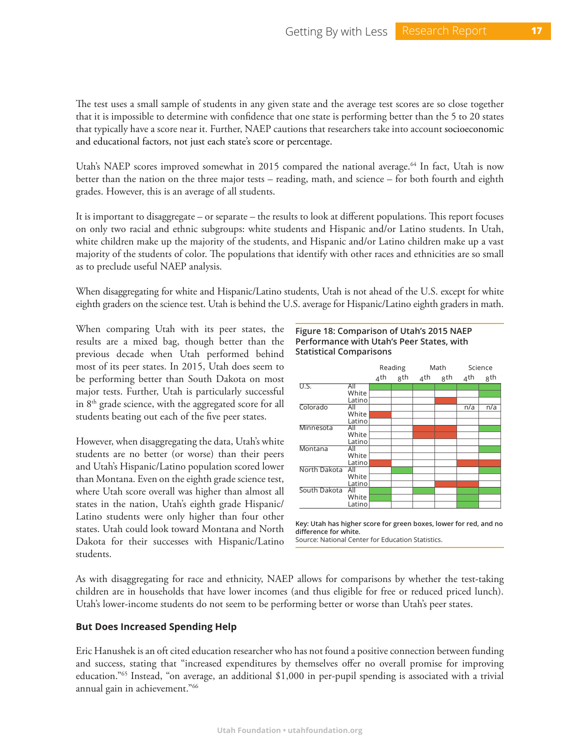The test uses a small sample of students in any given state and the average test scores are so close together that it is impossible to determine with confidence that one state is performing better than the 5 to 20 states that typically have a score near it. Further, NAEP cautions that researchers take into account socioeconomic and educational factors, not just each state's score or percentage.

Utah's NAEP scores improved somewhat in 2015 compared the national average.<sup>64</sup> In fact, Utah is now better than the nation on the three major tests – reading, math, and science – for both fourth and eighth grades. However, this is an average of all students.

It is important to disaggregate – or separate – the results to look at different populations. This report focuses on only two racial and ethnic subgroups: white students and Hispanic and/or Latino students. In Utah, white children make up the majority of the students, and Hispanic and/or Latino children make up a vast majority of the students of color. The populations that identify with other races and ethnicities are so small as to preclude useful NAEP analysis.

When disaggregating for white and Hispanic/Latino students, Utah is not ahead of the U.S. except for white eighth graders on the science test. Utah is behind the U.S. average for Hispanic/Latino eighth graders in math.

When comparing Utah with its peer states, the results are a mixed bag, though better than the previous decade when Utah performed behind most of its peer states. In 2015, Utah does seem to be performing better than South Dakota on most major tests. Further, Utah is particularly successful in  $8<sup>th</sup>$  grade science, with the aggregated score for all students beating out each of the five peer states.

However, when disaggregating the data, Utah's white students are no better (or worse) than their peers and Utah's Hispanic/Latino population scored lower than Montana. Even on the eighth grade science test, where Utah score overall was higher than almost all states in the nation, Utah's eighth grade Hispanic/ Latino students were only higher than four other states. Utah could look toward Montana and North Dakota for their successes with Hispanic/Latino students.

#### **Figure 18: Comparison of Utah's 2015 NAEP Performance with Utah's Peer States, with Statistical Comparisons**

|              |        |     | Reading |     | Math | Science |     |
|--------------|--------|-----|---------|-----|------|---------|-----|
|              |        | 4th | gth     | 4th | 8th  | 4th     | gth |
| <b>U.S.</b>  | All    |     |         |     |      |         |     |
|              | White  |     |         |     |      |         |     |
|              | Latino |     |         |     |      |         |     |
| Colorado     | All    |     |         |     |      | n/a     | n/a |
|              | White  |     |         |     |      |         |     |
|              | Latino |     |         |     |      |         |     |
| Minnesota    | All    |     |         |     |      |         |     |
|              | White  |     |         |     |      |         |     |
|              | Latino |     |         |     |      |         |     |
| Montana      | All    |     |         |     |      |         |     |
|              | White  |     |         |     |      |         |     |
|              | Latino |     |         |     |      |         |     |
| North Dakota | All    |     |         |     |      |         |     |
|              | White  |     |         |     |      |         |     |
|              | Latino |     |         |     |      |         |     |
| South Dakota | All    |     |         |     |      |         |     |
|              | White  |     |         |     |      |         |     |
|              | Latino |     |         |     |      |         |     |

**Key: Utah has higher score for green boxes, lower for red, and no difference for white.**

Source: National Center for Education Statistics.

As with disaggregating for race and ethnicity, NAEP allows for comparisons by whether the test-taking children are in households that have lower incomes (and thus eligible for free or reduced priced lunch). Utah's lower-income students do not seem to be performing better or worse than Utah's peer states.

#### **But Does Increased Spending Help**

Eric Hanushek is an oft cited education researcher who has not found a positive connection between funding and success, stating that "increased expenditures by themselves offer no overall promise for improving education."65 Instead, "on average, an additional \$1,000 in per-pupil spending is associated with a trivial annual gain in achievement."66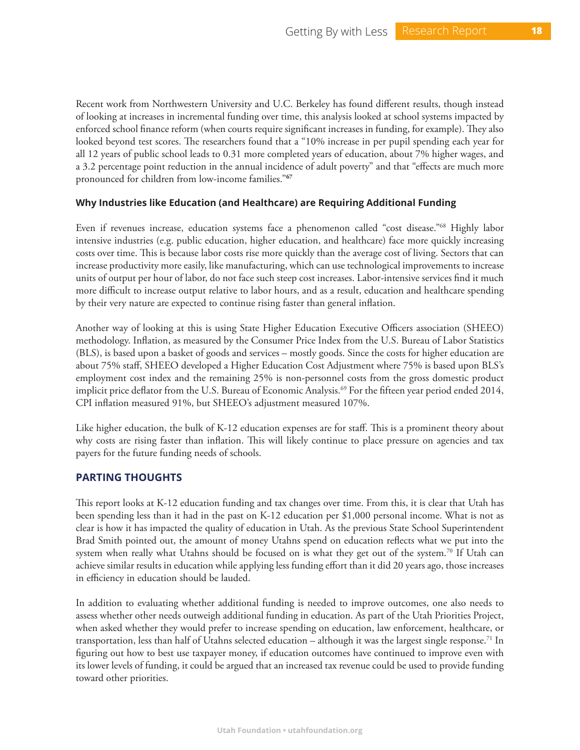Recent work from Northwestern University and U.C. Berkeley has found different results, though instead of looking at increases in incremental funding over time, this analysis looked at school systems impacted by enforced school finance reform (when courts require significant increases in funding, for example). They also looked beyond test scores. The researchers found that a "10% increase in per pupil spending each year for all 12 years of public school leads to 0.31 more completed years of education, about 7% higher wages, and a 3.2 percentage point reduction in the annual incidence of adult poverty" and that "effects are much more pronounced for children from low-income families."**<sup>67</sup>**

# **Why Industries like Education (and Healthcare) are Requiring Additional Funding**

Even if revenues increase, education systems face a phenomenon called "cost disease."68 Highly labor intensive industries (e.g. public education, higher education, and healthcare) face more quickly increasing costs over time. This is because labor costs rise more quickly than the average cost of living. Sectors that can increase productivity more easily, like manufacturing, which can use technological improvements to increase units of output per hour of labor, do not face such steep cost increases. Labor-intensive services find it much more difficult to increase output relative to labor hours, and as a result, education and healthcare spending by their very nature are expected to continue rising faster than general inflation.

Another way of looking at this is using State Higher Education Executive Officers association (SHEEO) methodology. Inflation, as measured by the Consumer Price Index from the U.S. Bureau of Labor Statistics (BLS), is based upon a basket of goods and services – mostly goods. Since the costs for higher education are about 75% staff, SHEEO developed a Higher Education Cost Adjustment where 75% is based upon BLS's employment cost index and the remaining 25% is non-personnel costs from the gross domestic product implicit price deflator from the U.S. Bureau of Economic Analysis.<sup>69</sup> For the fifteen year period ended 2014, CPI inflation measured 91%, but SHEEO's adjustment measured 107%.

Like higher education, the bulk of K-12 education expenses are for staff. This is a prominent theory about why costs are rising faster than inflation. This will likely continue to place pressure on agencies and tax payers for the future funding needs of schools.

# **PARTING THOUGHTS**

This report looks at K-12 education funding and tax changes over time. From this, it is clear that Utah has been spending less than it had in the past on K-12 education per \$1,000 personal income. What is not as clear is how it has impacted the quality of education in Utah. As the previous State School Superintendent Brad Smith pointed out, the amount of money Utahns spend on education reflects what we put into the system when really what Utahns should be focused on is what they get out of the system.<sup>70</sup> If Utah can achieve similar results in education while applying less funding effort than it did 20 years ago, those increases in efficiency in education should be lauded.

In addition to evaluating whether additional funding is needed to improve outcomes, one also needs to assess whether other needs outweigh additional funding in education. As part of the Utah Priorities Project, when asked whether they would prefer to increase spending on education, law enforcement, healthcare, or transportation, less than half of Utahns selected education – although it was the largest single response.<sup>71</sup> In figuring out how to best use taxpayer money, if education outcomes have continued to improve even with its lower levels of funding, it could be argued that an increased tax revenue could be used to provide funding toward other priorities.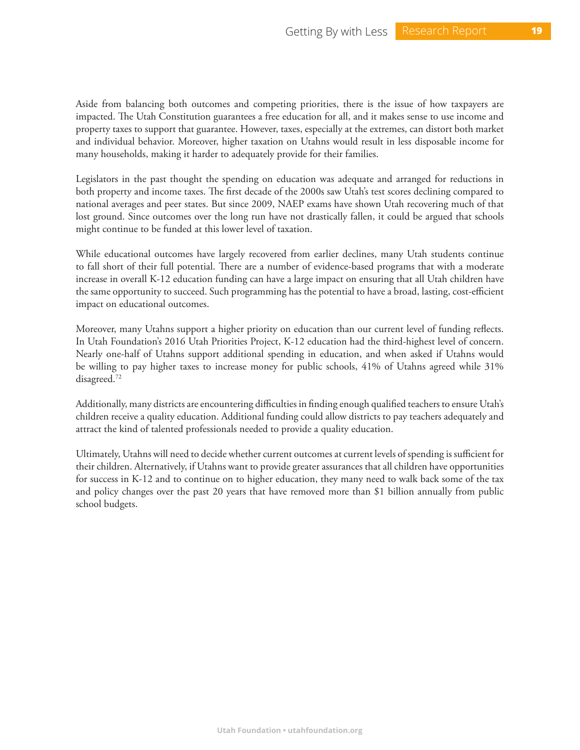Aside from balancing both outcomes and competing priorities, there is the issue of how taxpayers are impacted. The Utah Constitution guarantees a free education for all, and it makes sense to use income and property taxes to support that guarantee. However, taxes, especially at the extremes, can distort both market and individual behavior. Moreover, higher taxation on Utahns would result in less disposable income for many households, making it harder to adequately provide for their families.

Legislators in the past thought the spending on education was adequate and arranged for reductions in both property and income taxes. The first decade of the 2000s saw Utah's test scores declining compared to national averages and peer states. But since 2009, NAEP exams have shown Utah recovering much of that lost ground. Since outcomes over the long run have not drastically fallen, it could be argued that schools might continue to be funded at this lower level of taxation.

While educational outcomes have largely recovered from earlier declines, many Utah students continue to fall short of their full potential. There are a number of evidence-based programs that with a moderate increase in overall K-12 education funding can have a large impact on ensuring that all Utah children have the same opportunity to succeed. Such programming has the potential to have a broad, lasting, cost-efficient impact on educational outcomes.

Moreover, many Utahns support a higher priority on education than our current level of funding reflects. In Utah Foundation's 2016 Utah Priorities Project, K-12 education had the third-highest level of concern. Nearly one-half of Utahns support additional spending in education, and when asked if Utahns would be willing to pay higher taxes to increase money for public schools, 41% of Utahns agreed while 31% disagreed.72

Additionally, many districts are encountering difficulties in finding enough qualified teachers to ensure Utah's children receive a quality education. Additional funding could allow districts to pay teachers adequately and attract the kind of talented professionals needed to provide a quality education.

Ultimately, Utahns will need to decide whether current outcomes at current levels of spending is sufficient for their children. Alternatively, if Utahns want to provide greater assurances that all children have opportunities for success in K-12 and to continue on to higher education, they many need to walk back some of the tax and policy changes over the past 20 years that have removed more than \$1 billion annually from public school budgets.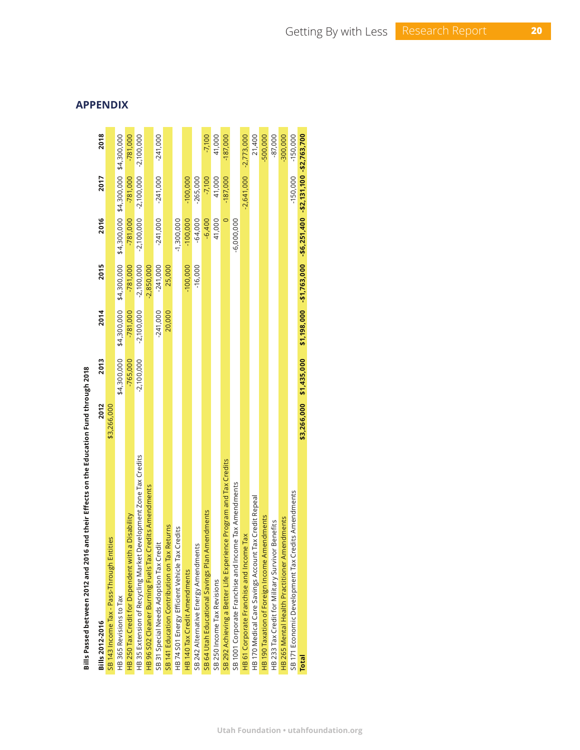| Bills 2012-2016                                                   | 2012        | 2013         | 2014         | 2015                                                            | 2016         | 2017                                | 2018                    |
|-------------------------------------------------------------------|-------------|--------------|--------------|-----------------------------------------------------------------|--------------|-------------------------------------|-------------------------|
| SB 143 Income Tax - Pass-Through Entities                         | \$3,266,000 |              |              |                                                                 |              |                                     |                         |
| HB 365 Revisions to Tax                                           |             | \$4,300,000  | \$4,300,000  | \$4,300,000                                                     |              | \$4,300,000 \$4,300,000 \$4,300,000 |                         |
| a Disability<br>HB 250 Tax Credit for Dependent with              |             | $-765.000$   | $-781,000$   | $-781,000$                                                      | $-781,000$   | $-781,000$                          | $-781,000$              |
| HB 35 Extension of Recycling Market Development Zone Tax Credits  |             | $-2,100,000$ | $-2,100,000$ | $-2,100,000$                                                    |              | $-2,100,000,000,000,000,000,000$    |                         |
| HB 96 S02 Cleaner Burning Fuels Tax Credits Amendments            |             |              |              | $-2,850,000$                                                    |              |                                     |                         |
| SB 31 Special Needs Adoption Tax Credit                           |             |              | $-241,000$   | $-241,000$                                                      | $-241,000$   | $-241,000$                          | $-241,000$              |
| SB 141 Education Contribution on Tax Returns                      |             |              | 20,000       | 25,000                                                          |              |                                     |                         |
| Credits<br>HB 74 S01 Energy Efficient Vehicle Tax                 |             |              |              |                                                                 | $-1,300,000$ |                                     |                         |
| HB 140 Tax Credit Amendments                                      |             |              |              | $-100,000$                                                      | $-100,000$   | $-100,000$                          |                         |
| SB 242 Alternative Energy Amendments                              |             |              |              | $-16,000$                                                       | $-64,000$    | $-265,000$                          |                         |
| SB 64 Utah Educational Savings Plan Amendments                    |             |              |              |                                                                 | $-6,400$     | $-7,100$                            | $-7,100$                |
| SB 250 Income Tax Revisions                                       |             |              |              |                                                                 | 41,000       | 41,000                              | 41,000                  |
| SB 292 Achieving a Better Life Experience Program and Tax Credits |             |              |              |                                                                 |              | $-187,000$                          | $-187,000$              |
| SB 1001 Corporate Franchise and Income Tax Amendments             |             |              |              |                                                                 | $-6,000,000$ |                                     |                         |
| HB 61 Corporate Franchise and Income Tax                          |             |              |              |                                                                 |              |                                     | $-2,641,000 -2,773,000$ |
| Tax Credit Repeal<br>HB 170 Medical Care Savings Account          |             |              |              |                                                                 |              |                                     | 21,400                  |
| HB 190 Taxation of Foreign Income Amendments                      |             |              |              |                                                                 |              |                                     | -500,000                |
| HB 233 Tax Credit for Military Survivor Benefits                  |             |              |              |                                                                 |              |                                     | $-87,000$               |
| HB 265 Mental Health Practitioner Amendments                      |             |              |              |                                                                 |              |                                     | $-300,000$              |
| SB 171 Economic Development Tax Credits Amendments                |             |              |              |                                                                 |              | $-150,000$                          | $-150,000$              |
| <b>Total</b>                                                      | \$3,266,000 | \$1,435,000  |              | \$1,198,000 -\$1,763,000 -\$6,251,400 -\$2,131,100 -\$2,763,700 |              |                                     |                         |
|                                                                   |             |              |              |                                                                 |              |                                     |                         |

# Bills Passed between 2012 and 2016 and their Effects on the Education Fund through 2018 **Bills Passed between 2012 and 2016 and their Effects on the Education Fund through 2018**

**APPENDIX**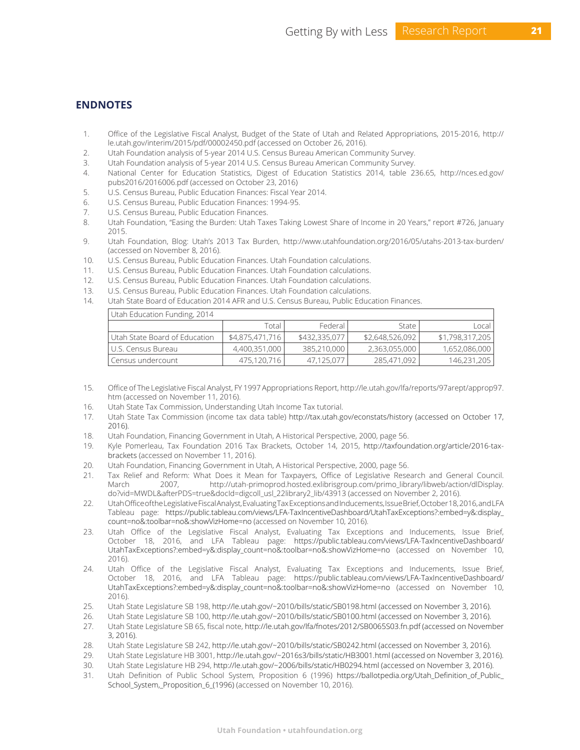# **ENDNOTES**

- 1. Office of the Legislative Fiscal Analyst, Budget of the State of Utah and Related Appropriations, 2015-2016, http:// le.utah.gov/interim/2015/pdf/00002450.pdf (accessed on October 26, 2016).
- 2. Utah Foundation analysis of 5-year 2014 U.S. Census Bureau American Community Survey.
- 3. Utah Foundation analysis of 5-year 2014 U.S. Census Bureau American Community Survey.
- 4. National Center for Education Statistics, Digest of Education Statistics 2014, table 236.65, http://nces.ed.gov/ pubs2016/2016006.pdf (accessed on October 23, 2016)
- 5. U.S. Census Bureau, Public Education Finances: Fiscal Year 2014.
- 6. U.S. Census Bureau, Public Education Finances: 1994-95.
- 7. U.S. Census Bureau, Public Education Finances.
- 8. Utah Foundation, "Easing the Burden: Utah Taxes Taking Lowest Share of Income in 20 Years," report #726, January 2015.
- 9. Utah Foundation, Blog: Utah's 2013 Tax Burden, http://www.utahfoundation.org/2016/05/utahs-2013-tax-burden/ (accessed on November 8, 2016).
- 10. U.S. Census Bureau, Public Education Finances. Utah Foundation calculations.
- 11. U.S. Census Bureau, Public Education Finances. Utah Foundation calculations.
- 12. U.S. Census Bureau, Public Education Finances. Utah Foundation calculations.
- 13. U.S. Census Bureau, Public Education Finances. Utah Foundation calculations.
- 14. Utah State Board of Education 2014 AFR and U.S. Census Bureau, Public Education Finances.

| Utah Education Funding, 2014  |                 |               |                 |                 |
|-------------------------------|-----------------|---------------|-----------------|-----------------|
|                               | Total           | Federal I     | State           | Local           |
| Utah State Board of Education | \$4,875,471,716 | \$432,335,077 | \$2,648,526,092 | \$1,798,317,205 |
| l U.S. Census Bureau          | 4,400,351,000   | 385,210,000   | 2,363,055,000   | 1,652,086,000   |
| Census undercount             | 475,120,716     | 47,125,077    | 285,471,092     | 146,231,205     |

- 15. Office of The Legislative Fiscal Analyst, FY 1997 Appropriations Report, http://le.utah.gov/lfa/reports/97arept/approp97. htm (accessed on November 11, 2016).
- 16. Utah State Tax Commission, Understanding Utah Income Tax tutorial.
- 17. Utah State Tax Commission (income tax data table) http://tax.utah.gov/econstats/history (accessed on October 17, 2016).
- 18. Utah Foundation, Financing Government in Utah, A Historical Perspective, 2000, page 56.
- 19. Kyle Pomerleau, Tax Foundation 2016 Tax Brackets, October 14, 2015, http://taxfoundation.org/article/2016-taxbrackets (accessed on November 11, 2016).
- 20. Utah Foundation, Financing Government in Utah, A Historical Perspective, 2000, page 56.
- 21. Tax Relief and Reform: What Does it Mean for Taxpayers, Office of Legislative Research and General Council. March 2007, http://utah-primoprod.hosted.exlibrisgroup.com/primo\_library/libweb/action/dlDisplay. do?vid=MWDL&afterPDS=true&docId=digcoll\_usl\_22library2\_lib/43913 (accessed on November 2, 2016).
- 22. Utah Office of the Legislative Fiscal Analyst, Evaluating Tax Exceptions and Inducements, Issue Brief, October 18, 2016, and LFA Tableau page: https://public.tableau.com/views/LFA-TaxIncentiveDashboard/UtahTaxExceptions?:embed=y&:display\_ count=no&:toolbar=no&:showVizHome=no (accessed on November 10, 2016).
- 23. Utah Office of the Legislative Fiscal Analyst, Evaluating Tax Exceptions and Inducements, Issue Brief, October 18, 2016, and LFA Tableau page: https://public.tableau.com/views/LFA-TaxIncentiveDashboard/ UtahTaxExceptions?:embed=y&:display\_count=no&:toolbar=no&:showVizHome=no (accessed on November 10, 2016).
- 24. Utah Office of the Legislative Fiscal Analyst, Evaluating Tax Exceptions and Inducements, Issue Brief, October 18, 2016, and LFA Tableau page: https://public.tableau.com/views/LFA-TaxIncentiveDashboard/ UtahTaxExceptions?:embed=y&:display\_count=no&:toolbar=no&:showVizHome=no (accessed on November 10, 2016).
- 25. Utah State Legislature SB 198, http://le.utah.gov/~2010/bills/static/SB0198.html (accessed on November 3, 2016).
- 26. Utah State Legislature SB 100, http://le.utah.gov/~2010/bills/static/SB0100.html (accessed on November 3, 2016).
- 27. Utah State Legislature SB 65, fiscal note, http://le.utah.gov/lfa/fnotes/2012/SB0065S03.fn.pdf (accessed on November 3, 2016).
- 28. Utah State Legislature SB 242, http://le.utah.gov/~2010/bills/static/SB0242.html (accessed on November 3, 2016).
- 29. Utah State Legislature HB 3001, http://le.utah.gov/~2016s3/bills/static/HB3001.html (accessed on November 3, 2016).
- 30. Utah State Legislature HB 294, http://le.utah.gov/~2006/bills/static/HB0294.html (accessed on November 3, 2016).
- 31. Utah Definition of Public School System, Proposition 6 (1996) https://ballotpedia.org/Utah\_Definition\_of\_Public\_ School\_System,\_Proposition\_6\_(1996) (accessed on November 10, 2016).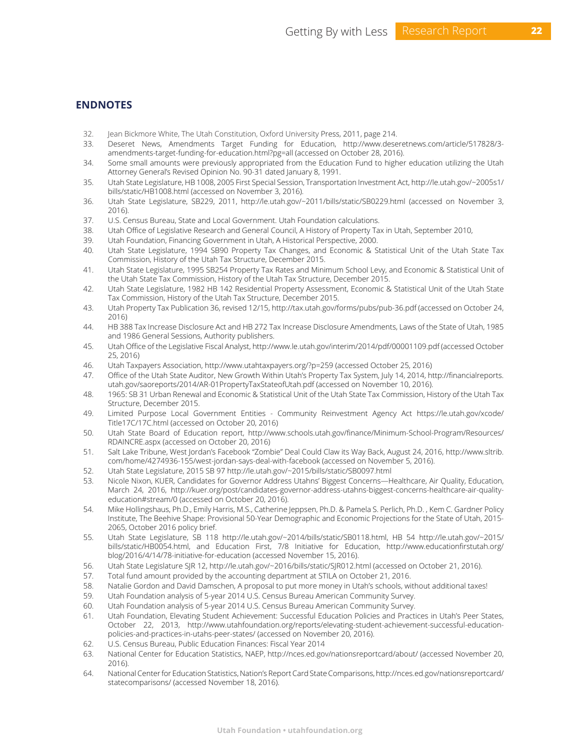# **ENDNOTES**

- 32. Jean Bickmore White, The Utah Constitution, Oxford University Press, 2011, page 214.
- 33. Deseret News, Amendments Target Funding for Education, http://www.deseretnews.com/article/517828/3 amendments-target-funding-for-education.html?pg=all (accessed on October 28, 2016).
- 34. Some small amounts were previously appropriated from the Education Fund to higher education utilizing the Utah Attorney General's Revised Opinion No. 90-31 dated January 8, 1991.
- 35. Utah State Legislature, HB 1008, 2005 First Special Session, Transportation Investment Act, http://le.utah.gov/~2005s1/ bills/static/HB1008.html (accessed on November 3, 2016).
- 36. Utah State Legislature, SB229, 2011, http://le.utah.gov/~2011/bills/static/SB0229.html (accessed on November 3, 2016).
- 37. U.S. Census Bureau, State and Local Government. Utah Foundation calculations.
- 38. Utah Office of Legislative Research and General Council, A History of Property Tax in Utah, September 2010,
- 39. Utah Foundation, Financing Government in Utah, A Historical Perspective, 2000.
- 40. Utah State Legislature, 1994 SB90 Property Tax Changes, and Economic & Statistical Unit of the Utah State Tax Commission, History of the Utah Tax Structure, December 2015.
- 41. Utah State Legislature, 1995 SB254 Property Tax Rates and Minimum School Levy, and Economic & Statistical Unit of the Utah State Tax Commission, History of the Utah Tax Structure, December 2015.
- 42. Utah State Legislature, 1982 HB 142 Residential Property Assessment, Economic & Statistical Unit of the Utah State Tax Commission, History of the Utah Tax Structure, December 2015.
- 43. Utah Property Tax Publication 36, revised 12/15, http://tax.utah.gov/forms/pubs/pub-36.pdf (accessed on October 24, 2016)
- 44. HB 388 Tax Increase Disclosure Act and HB 272 Tax Increase Disclosure Amendments, Laws of the State of Utah, 1985 and 1986 General Sessions, Authority publishers.
- 45. Utah Office of the Legislative Fiscal Analyst, http://www.le.utah.gov/interim/2014/pdf/00001109.pdf (accessed October 25, 2016)
- 46. Utah Taxpayers Association, http://www.utahtaxpayers.org/?p=259 (accessed October 25, 2016)
- 47. Office of the Utah State Auditor, New Growth Within Utah's Property Tax System, July 14, 2014, http://financialreports. utah.gov/saoreports/2014/AR-01PropertyTaxStateofUtah.pdf (accessed on November 10, 2016).
- 48. 1965: SB 31 Urban Renewal and Economic & Statistical Unit of the Utah State Tax Commission, History of the Utah Tax Structure, December 2015.
- 49. Limited Purpose Local Government Entities Community Reinvestment Agency Act https://le.utah.gov/xcode/ Title17C/17C.html (accessed on October 20, 2016)
- 50. Utah State Board of Education report, http://www.schools.utah.gov/finance/Minimum-School-Program/Resources/ RDAINCRE.aspx (accessed on October 20, 2016)
- 51. Salt Lake Tribune, West Jordan's Facebook "Zombie" Deal Could Claw its Way Back, August 24, 2016, http://www.sltrib. com/home/4274936-155/west-jordan-says-deal-with-facebook (accessed on November 5, 2016).
- 52. Utah State Legislature, 2015 SB 97 http://le.utah.gov/~2015/bills/static/SB0097.html
- 53. Nicole Nixon, KUER, Candidates for Governor Address Utahns' Biggest Concerns—Healthcare, Air Quality, Education, March 24, 2016, http://kuer.org/post/candidates-governor-address-utahns-biggest-concerns-healthcare-air-qualityeducation#stream/0 (accessed on October 20, 2016).
- 54. Mike Hollingshaus, Ph.D., Emily Harris, M.S., Catherine Jeppsen, Ph.D. & Pamela S. Perlich, Ph.D. , Kem C. Gardner Policy Institute, The Beehive Shape: Provisional 50-Year Demographic and Economic Projections for the State of Utah, 2015- 2065, October 2016 policy brief.
- 55. Utah State Legislature, SB 118 http://le.utah.gov/~2014/bills/static/SB0118.html, HB 54 http://le.utah.gov/~2015/ bills/static/HB0054.html, and Education First, 7/8 Initiative for Education, http://www.educationfirstutah.org/ blog/2016/4/14/78-initiative-for-education (accessed November 15, 2016).
- 56. Utah State Legislature SJR 12, http://le.utah.gov/~2016/bills/static/SJR012.html (accessed on October 21, 2016).
- 57. Total fund amount provided by the accounting department at STILA on October 21, 2016.
- 58. Natalie Gordon and David Damschen, A proposal to put more money in Utah's schools, without additional taxes!
- 59. Utah Foundation analysis of 5-year 2014 U.S. Census Bureau American Community Survey.
- 60. Utah Foundation analysis of 5-year 2014 U.S. Census Bureau American Community Survey.
- 61. Utah Foundation, Elevating Student Achievement: Successful Education Policies and Practices in Utah's Peer States, October 22, 2013, http://www.utahfoundation.org/reports/elevating-student-achievement-successful-educationpolicies-and-practices-in-utahs-peer-states/ (accessed on November 20, 2016).
- 62. U.S. Census Bureau, Public Education Finances: Fiscal Year 2014
- 63. National Center for Education Statistics, NAEP, http://nces.ed.gov/nationsreportcard/about/ (accessed November 20, 2016).
- 64. National Center for Education Statistics, Nation's Report Card State Comparisons, http://nces.ed.gov/nationsreportcard/ statecomparisons/ (accessed November 18, 2016).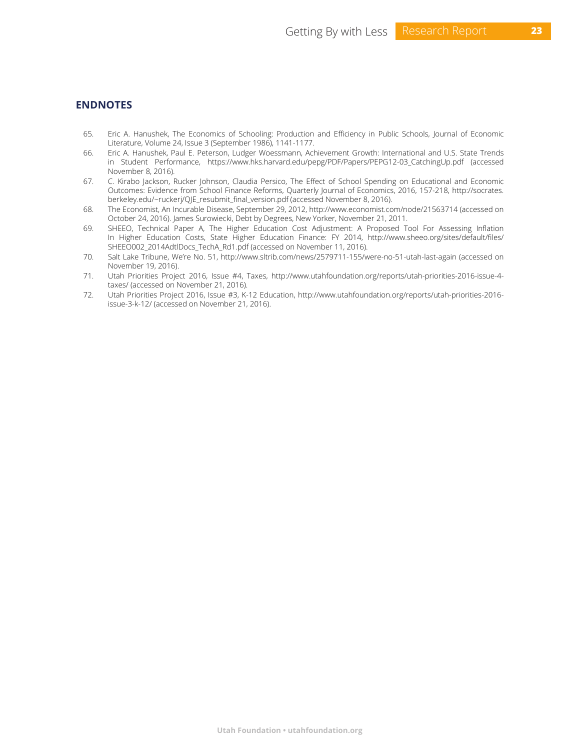# **ENDNOTES**

- 65. Eric A. Hanushek, The Economics of Schooling: Production and Efficiency in Public Schools, Journal of Economic Literature, Volume 24, Issue 3 (September 1986), 1141-1177.
- 66. Eric A. Hanushek, Paul E. Peterson, Ludger Woessmann, Achievement Growth: International and U.S. State Trends in Student Performance, https://www.hks.harvard.edu/pepg/PDF/Papers/PEPG12-03\_CatchingUp.pdf (accessed November 8, 2016).
- 67. C. Kirabo Jackson, Rucker Johnson, Claudia Persico, The Effect of School Spending on Educational and Economic Outcomes: Evidence from School Finance Reforms, Quarterly Journal of Economics, 2016, 157-218, http://socrates. berkeley.edu/~ruckerj/QJE\_resubmit\_final\_version.pdf (accessed November 8, 2016).
- 68. The Economist, An Incurable Disease, September 29, 2012, http://www.economist.com/node/21563714 (accessed on October 24, 2016). James Surowiecki, Debt by Degrees, New Yorker, November 21, 2011.
- 69. SHEEO, Technical Paper A, The Higher Education Cost Adjustment: A Proposed Tool For Assessing Inflation In Higher Education Costs, State Higher Education Finance: FY 2014, http://www.sheeo.org/sites/default/files/ SHEEO002\_2014AdtlDocs\_TechA\_Rd1.pdf (accessed on November 11, 2016).
- 70. Salt Lake Tribune, We're No. 51, http://www.sltrib.com/news/2579711-155/were-no-51-utah-last-again (accessed on November 19, 2016).
- 71. Utah Priorities Project 2016, Issue #4, Taxes, http://www.utahfoundation.org/reports/utah-priorities-2016-issue-4 taxes/ (accessed on November 21, 2016).
- 72. Utah Priorities Project 2016, Issue #3, K-12 Education, http://www.utahfoundation.org/reports/utah-priorities-2016 issue-3-k-12/ (accessed on November 21, 2016).